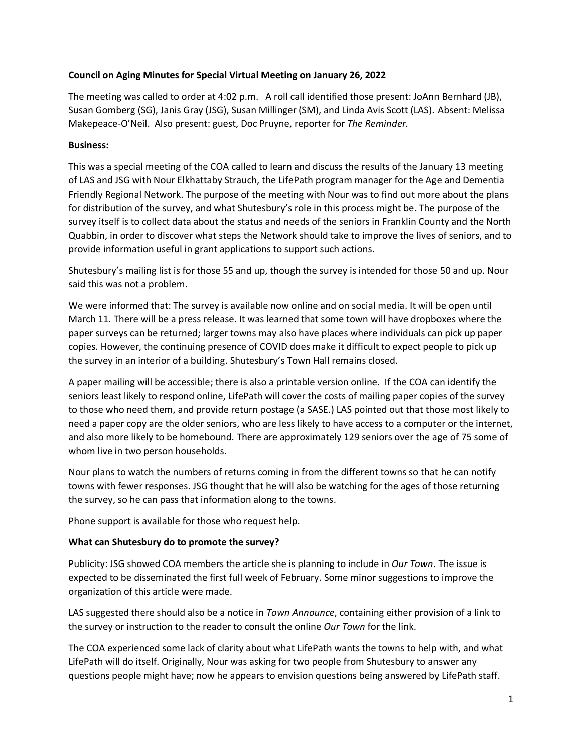## **Council on Aging Minutes for Special Virtual Meeting on January 26, 2022**

The meeting was called to order at 4:02 p.m. A roll call identified those present: JoAnn Bernhard (JB), Susan Gomberg (SG), Janis Gray (JSG), Susan Millinger (SM), and Linda Avis Scott (LAS). Absent: Melissa Makepeace-O'Neil. Also present: guest, Doc Pruyne, reporter for *The Reminder.*

## **Business:**

This was a special meeting of the COA called to learn and discuss the results of the January 13 meeting of LAS and JSG with Nour Elkhattaby Strauch, the LifePath program manager for the Age and Dementia Friendly Regional Network. The purpose of the meeting with Nour was to find out more about the plans for distribution of the survey, and what Shutesbury's role in this process might be. The purpose of the survey itself is to collect data about the status and needs of the seniors in Franklin County and the North Quabbin, in order to discover what steps the Network should take to improve the lives of seniors, and to provide information useful in grant applications to support such actions.

Shutesbury's mailing list is for those 55 and up, though the survey is intended for those 50 and up. Nour said this was not a problem.

We were informed that: The survey is available now online and on social media. It will be open until March 11. There will be a press release. It was learned that some town will have dropboxes where the paper surveys can be returned; larger towns may also have places where individuals can pick up paper copies. However, the continuing presence of COVID does make it difficult to expect people to pick up the survey in an interior of a building. Shutesbury's Town Hall remains closed.

A paper mailing will be accessible; there is also a printable version online. If the COA can identify the seniors least likely to respond online, LifePath will cover the costs of mailing paper copies of the survey to those who need them, and provide return postage (a SASE.) LAS pointed out that those most likely to need a paper copy are the older seniors, who are less likely to have access to a computer or the internet, and also more likely to be homebound. There are approximately 129 seniors over the age of 75 some of whom live in two person households.

Nour plans to watch the numbers of returns coming in from the different towns so that he can notify towns with fewer responses. JSG thought that he will also be watching for the ages of those returning the survey, so he can pass that information along to the towns.

Phone support is available for those who request help.

## **What can Shutesbury do to promote the survey?**

Publicity: JSG showed COA members the article she is planning to include in *Our Town*. The issue is expected to be disseminated the first full week of February. Some minor suggestions to improve the organization of this article were made.

LAS suggested there should also be a notice in *Town Announce*, containing either provision of a link to the survey or instruction to the reader to consult the online *Our Town* for the link.

The COA experienced some lack of clarity about what LifePath wants the towns to help with, and what LifePath will do itself. Originally, Nour was asking for two people from Shutesbury to answer any questions people might have; now he appears to envision questions being answered by LifePath staff.